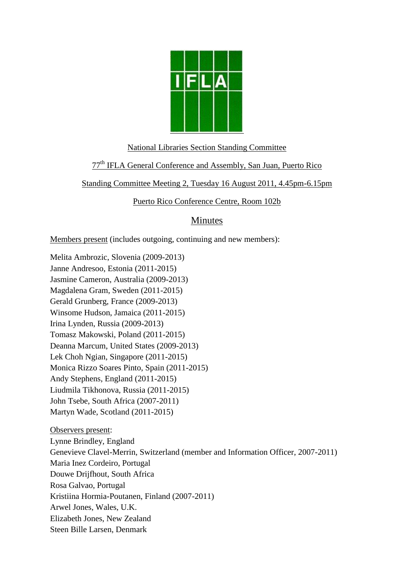

#### National Libraries Section Standing Committee

## 77th IFLA General Conference and Assembly, San Juan, Puerto Rico

Standing Committee Meeting 2, Tuesday 16 August 2011, 4.45pm-6.15pm

Puerto Rico Conference Centre, Room 102b

# Minutes

Members present (includes outgoing, continuing and new members):

Melita Ambrozic, Slovenia (2009-2013) Janne Andresoo, Estonia (2011-2015) Jasmine Cameron, Australia (2009-2013) Magdalena Gram, Sweden (2011-2015) Gerald Grunberg, France (2009-2013) Winsome Hudson, Jamaica (2011-2015) Irina Lynden, Russia (2009-2013) Tomasz Makowski, Poland (2011-2015) Deanna Marcum, United States (2009-2013) Lek Choh Ngian, Singapore (2011-2015) Monica Rizzo Soares Pinto, Spain (2011-2015) Andy Stephens, England (2011-2015) Liudmila Tikhonova, Russia (2011-2015) John Tsebe, South Africa (2007-2011) Martyn Wade, Scotland (2011-2015) Observers present: Lynne Brindley, England Genevieve Clavel-Merrin, Switzerland (member and Information Officer, 2007-2011) Maria Inez Cordeiro, Portugal Douwe Drijfhout, South Africa

Rosa Galvao, Portugal

Kristiina Hormia-Poutanen, Finland (2007-2011)

Arwel Jones, Wales, U.K.

Elizabeth Jones, New Zealand

Steen Bille Larsen, Denmark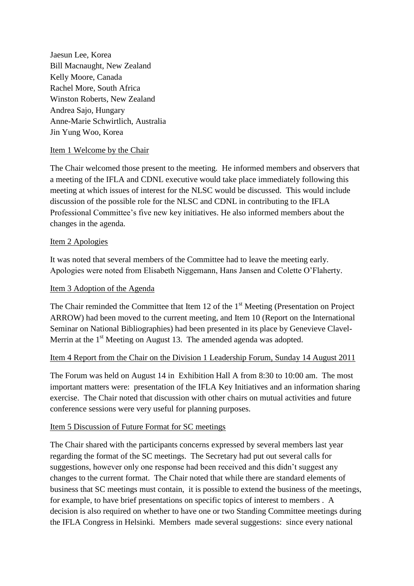Jaesun Lee, Korea Bill Macnaught, New Zealand Kelly Moore, Canada Rachel More, South Africa Winston Roberts, New Zealand Andrea Sajo, Hungary Anne-Marie Schwirtlich, Australia Jin Yung Woo, Korea

### Item 1 Welcome by the Chair

The Chair welcomed those present to the meeting. He informed members and observers that a meeting of the IFLA and CDNL executive would take place immediately following this meeting at which issues of interest for the NLSC would be discussed. This would include discussion of the possible role for the NLSC and CDNL in contributing to the IFLA Professional Committee's five new key initiatives. He also informed members about the changes in the agenda.

#### Item 2 Apologies

It was noted that several members of the Committee had to leave the meeting early. Apologies were noted from Elisabeth Niggemann, Hans Jansen and Colette O'Flaherty.

#### Item 3 Adoption of the Agenda

The Chair reminded the Committee that Item 12 of the  $1<sup>st</sup>$  Meeting (Presentation on Project ARROW) had been moved to the current meeting, and Item 10 (Report on the International Seminar on National Bibliographies) had been presented in its place by Genevieve Clavel-Merrin at the  $1<sup>st</sup>$  Meeting on August 13. The amended agenda was adopted.

### Item 4 Report from the Chair on the Division 1 Leadership Forum, Sunday 14 August 2011

The Forum was held on August 14 in Exhibition Hall A from 8:30 to 10:00 am. The most important matters were: presentation of the IFLA Key Initiatives and an information sharing exercise. The Chair noted that discussion with other chairs on mutual activities and future conference sessions were very useful for planning purposes.

#### Item 5 Discussion of Future Format for SC meetings

The Chair shared with the participants concerns expressed by several members last year regarding the format of the SC meetings. The Secretary had put out several calls for suggestions, however only one response had been received and this didn't suggest any changes to the current format. The Chair noted that while there are standard elements of business that SC meetings must contain, it is possible to extend the business of the meetings, for example, to have brief presentations on specific topics of interest to members . A decision is also required on whether to have one or two Standing Committee meetings during the IFLA Congress in Helsinki. Members made several suggestions: since every national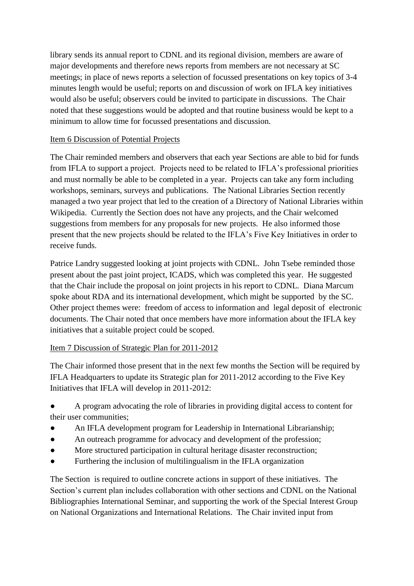library sends its annual report to CDNL and its regional division, members are aware of major developments and therefore news reports from members are not necessary at SC meetings; in place of news reports a selection of focussed presentations on key topics of 3-4 minutes length would be useful; reports on and discussion of work on IFLA key initiatives would also be useful; observers could be invited to participate in discussions. The Chair noted that these suggestions would be adopted and that routine business would be kept to a minimum to allow time for focussed presentations and discussion.

## Item 6 Discussion of Potential Projects

The Chair reminded members and observers that each year Sections are able to bid for funds from IFLA to support a project. Projects need to be related to IFLA's professional priorities and must normally be able to be completed in a year. Projects can take any form including workshops, seminars, surveys and publications. The National Libraries Section recently managed a two year project that led to the creation of a Directory of National Libraries within Wikipedia. Currently the Section does not have any projects, and the Chair welcomed suggestions from members for any proposals for new projects. He also informed those present that the new projects should be related to the IFLA's Five Key Initiatives in order to receive funds.

Patrice Landry suggested looking at joint projects with CDNL. John Tsebe reminded those present about the past joint project, ICADS, which was completed this year. He suggested that the Chair include the proposal on joint projects in his report to CDNL. Diana Marcum spoke about RDA and its international development, which might be supported by the SC. Other project themes were: freedom of access to information and legal deposit of electronic documents. The Chair noted that once members have more information about the IFLA key initiatives that a suitable project could be scoped.

# Item 7 Discussion of Strategic Plan for 2011-2012

The Chair informed those present that in the next few months the Section will be required by IFLA Headquarters to update its Strategic plan for 2011-2012 according to the Five Key Initiatives that IFLA will develop in 2011-2012:

- A program advocating the role of libraries in providing digital access to content for their user communities;
- An IFLA development program for Leadership in International Librarianship;
- An outreach programme for advocacy and development of the profession;
- More structured participation in cultural heritage disaster reconstruction;
- Furthering the inclusion of multilingualism in the IFLA organization

The Section is required to outline concrete actions in support of these initiatives. The Section's current plan includes collaboration with other sections and CDNL on the National Bibliographies International Seminar, and supporting the work of the Special Interest Group on National Organizations and International Relations. The Chair invited input from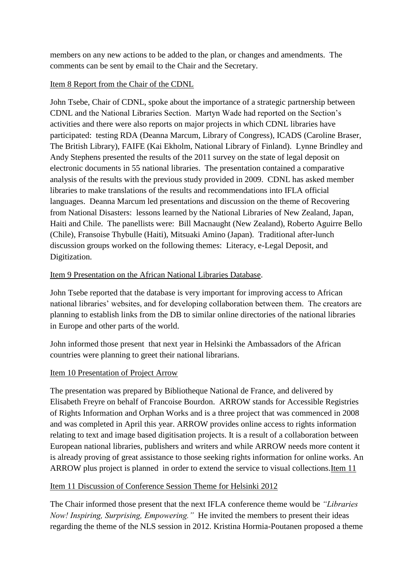members on any new actions to be added to the plan, or changes and amendments. The comments can be sent by email to the Chair and the Secretary.

## Item 8 Report from the Chair of the CDNL

John Tsebe, Chair of CDNL, spoke about the importance of a strategic partnership between CDNL and the National Libraries Section. Martyn Wade had reported on the Section's activities and there were also reports on major projects in which CDNL libraries have participated: testing RDA (Deanna Marcum, Library of Congress), ICADS (Caroline Braser, The British Library), FAIFE (Kai Ekholm, National Library of Finland). Lynne Brindley and Andy Stephens presented the results of the 2011 survey on the state of legal deposit on electronic documents in 55 national libraries. The presentation contained a comparative analysis of the results with the previous study provided in 2009. CDNL has asked member libraries to make translations of the results and recommendations into IFLA official languages. Deanna Marcum led presentations and discussion on the theme of Recovering from National Disasters: lessons learned by the National Libraries of New Zealand, Japan, Haiti and Chile. The panellists were: Bill Macnaught (New Zealand), Roberto Aguirre Bello (Chile), Fransoise Thybulle (Haiti), Mitsuaki Amino (Japan). Traditional after-lunch discussion groups worked on the following themes: Literacy, e-Legal Deposit, and Digitization.

## Item 9 Presentation on the African National Libraries Database.

John Tsebe reported that the database is very important for improving access to African national libraries' websites, and for developing collaboration between them. The creators are planning to establish links from the DB to similar online directories of the national libraries in Europe and other parts of the world.

John informed those present that next year in Helsinki the Ambassadors of the African countries were planning to greet their national librarians.

# Item 10 Presentation of Project Arrow

The presentation was prepared by Bibliotheque National de France, and delivered by Elisabeth Freyre on behalf of Francoise Bourdon. ARROW stands for Accessible Registries of Rights Information and Orphan Works and is a three project that was commenced in 2008 and was completed in April this year. ARROW provides online access to rights information relating to text and image based digitisation projects. It is a result of a collaboration between European national libraries, publishers and writers and while ARROW needs more content it is already proving of great assistance to those seeking rights information for online works. An ARROW plus project is planned in order to extend the service to visual collections.Item 11

# Item 11 Discussion of Conference Session Theme for Helsinki 2012

The Chair informed those present that the next IFLA conference theme would be *"Libraries Now! Inspiring, Surprising, Empowering."* He invited the members to present their ideas regarding the theme of the NLS session in 2012. Kristina Hormia-Poutanen proposed a theme